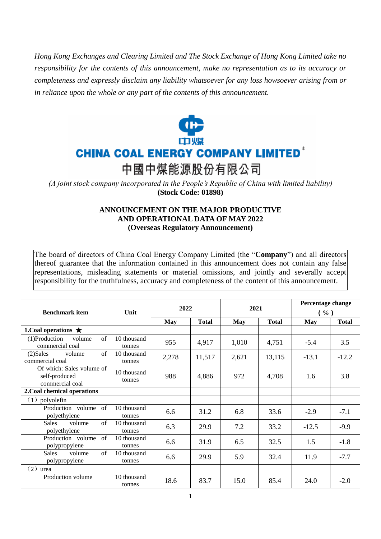*Hong Kong Exchanges and Clearing Limited and The Stock Exchange of Hong Kong Limited take no responsibility for the contents of this announcement, make no representation as to its accuracy or completeness and expressly disclaim any liability whatsoever for any loss howsoever arising from or in reliance upon the whole or any part of the contents of this announcement.*



*(A joint stock company incorporated in the People's Republic of China with limited liability)*  **(Stock Code: 01898)**

## **ANNOUNCEMENT ON THE MAJOR PRODUCTIVE AND OPERATIONAL DATA OF MAY 2022 (Overseas Regulatory Announcement)**

The board of directors of China Coal Energy Company Limited (the "**Company**") and all directors thereof guarantee that the information contained in this announcement does not contain any false representations, misleading statements or material omissions, and jointly and severally accept responsibility for the truthfulness, accuracy and completeness of the content of this announcement.

| <b>Benchmark</b> item                                         | Unit                  | 2022       |              | 2021       |              | Percentage change<br>$(\% )$ |              |
|---------------------------------------------------------------|-----------------------|------------|--------------|------------|--------------|------------------------------|--------------|
|                                                               |                       | <b>May</b> | <b>Total</b> | <b>May</b> | <b>Total</b> | May                          | <b>Total</b> |
| 1. Coal operations $\bigstar$                                 |                       |            |              |            |              |                              |              |
| $\sigma$ f<br>$(1)$ Production<br>volume<br>commercial coal   | 10 thousand<br>tonnes | 955        | 4,917        | 1,010      | 4,751        | $-5.4$                       | 3.5          |
| $\sigma$ f<br>$(2)$ Sales<br>volume<br>commercial coal        | 10 thousand<br>tonnes | 2,278      | 11,517       | 2,621      | 13,115       | $-13.1$                      | $-12.2$      |
| Of which: Sales volume of<br>self-produced<br>commercial coal | 10 thousand<br>tonnes | 988        | 4,886        | 972        | 4,708        | 1.6                          | 3.8          |
| 2. Coal chemical operations                                   |                       |            |              |            |              |                              |              |
| polyolefin<br>(1)                                             |                       |            |              |            |              |                              |              |
| $\alpha$ f<br>Production volume<br>polyethylene               | 10 thousand<br>tonnes | 6.6        | 31.2         | 6.8        | 33.6         | $-2.9$                       | $-7.1$       |
| $\sigma$ f<br><b>Sales</b><br>volume<br>polyethylene          | 10 thousand<br>tonnes | 6.3        | 29.9         | 7.2        | 33.2         | $-12.5$                      | $-9.9$       |
| Production volume<br>$\alpha$ f<br>polypropylene              | 10 thousand<br>tonnes | 6.6        | 31.9         | 6.5        | 32.5         | 1.5                          | $-1.8$       |
| <b>Sales</b><br>of<br>volume<br>polypropylene                 | 10 thousand<br>tonnes | 6.6        | 29.9         | 5.9        | 32.4         | 11.9                         | $-7.7$       |
| $(2)$ urea                                                    |                       |            |              |            |              |                              |              |
| Production volume                                             | 10 thousand<br>tonnes | 18.6       | 83.7         | 15.0       | 85.4         | 24.0                         | $-2.0$       |

1